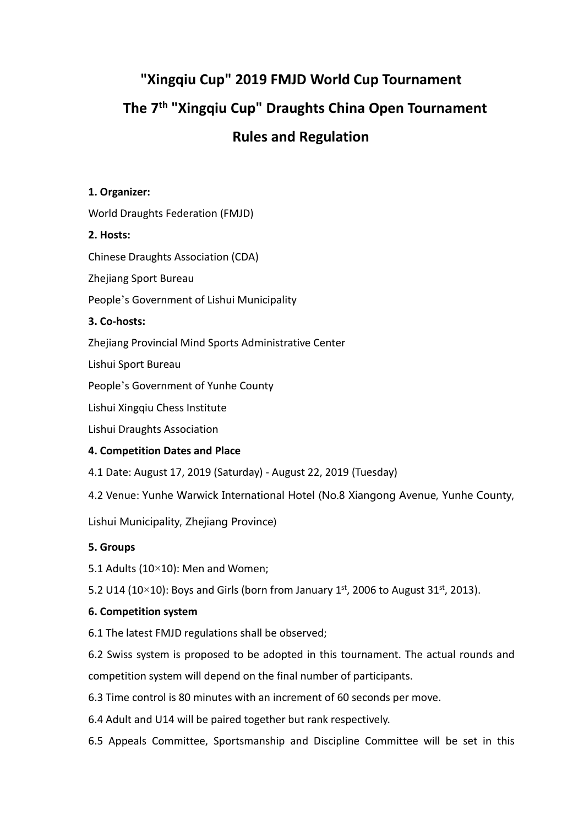# **"Xingqiu Cup" 2019 FMJD World Cup Tournament The 7 th "Xingqiu Cup" Draughts China Open Tournament Rules and Regulation**

# **1. Organizer:**

World Draughts Federation (FMJD)

## **2. Hosts:**

Chinese Draughts Association (CDA)

Zhejiang Sport Bureau

People's Government of Lishui Municipality

## **3. Co-hosts:**

Zhejiang Provincial Mind Sports Administrative Center

Lishui Sport Bureau

People's Government of Yunhe County

Lishui Xingqiu Chess Institute

Lishui Draughts Association

# **4. Competition Datesand Place**

4.1 Date: August 17, 2019 (Saturday) - August 22, 2019 (Tuesday)

4.2 Venue: Yunhe Warwick International Hotel (No.8 Xiangong Avenue, Yunhe County,

Lishui Municipality, Zhejiang Province)

## **5. Groups**

5.1 Adults (10×10): Men and Women;

5.2 U14 (10×10): Boys and Girls (born from January 1st, 2006 to August 31st, 2013).

# **6. Competition system**

6.1 The latest FMJD regulations shall be observed;

6.2 Swiss system is proposed to be adopted in this tournament. The actual rounds and competition system will depend on the final number of participants.

6.3 Time control is 80 minutes with an increment of 60 seconds per move.

- 6.4 Adult and U14 will be paired together but rank respectively.
- 6.5 Appeals Committee, Sportsmanship and Discipline Committee will be set in this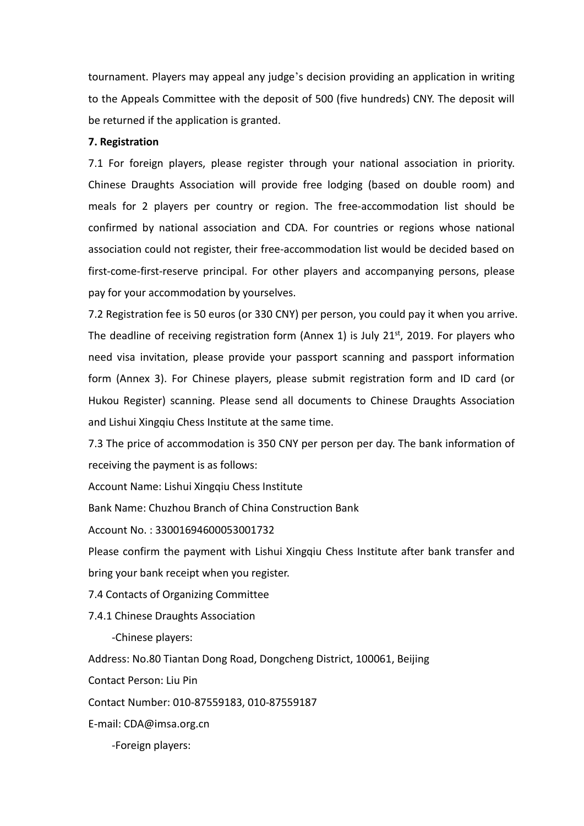tournament. Players may appeal any judge's decision providing an application in writing to the Appeals Committee with the deposit of 500 (five hundreds) CNY. The deposit will be returned if the application is granted.

#### **7. Registration**

7.1 For foreign players, please register through your national association in priority. Chinese Draughts Association will provide free lodging (based on double room) and meals for 2 players per country or region. The free-accommodation list should be confirmed by national association and CDA. For countries or regions whose national association could not register, their free-accommodation list would be decided based on first-come-first-reserve principal. For other players and accompanying persons, please pay for your accommodation by yourselves.

7.2 Registration fee is 50 euros (or 330 CNY) per person, you could pay it when you arrive. The deadline of receiving registration form (Annex 1) is July 21<sup>st</sup>, 2019. For players who need visa invitation, please provide your passport scanning and passport information form (Annex 3). For Chinese players, please submit registration form and ID card (or Hukou Register) scanning. Please send all documents to Chinese Draughts Association and Lishui Xingqiu Chess Institute at the same time.

7.3 The price of accommodation is 350 CNY per person per day.The bank information of receiving the payment is as follows:

Account Name: Lishui Xingqiu Chess Institute

Bank Name: Chuzhou Branch of China Construction Bank

Account No. : 33001694600053001732

Please confirm the payment with Lishui Xingqiu Chess Institute after bank transfer and bring your bank receipt when you register.<br>7.4 Contacts of Organizing Committee

7.4.1 Chinese Draughts Association

-Chinese players:

Address: No.80 Tiantan Dong Road, Dongcheng District, 100061, Beijing

Contact Person: Liu Pin

Contact Number: 010-87559183, 010-87559187

E-mail: [CDA@imsa.org.cn](mailto:CDA@imsa.org.cn)

-Foreign players: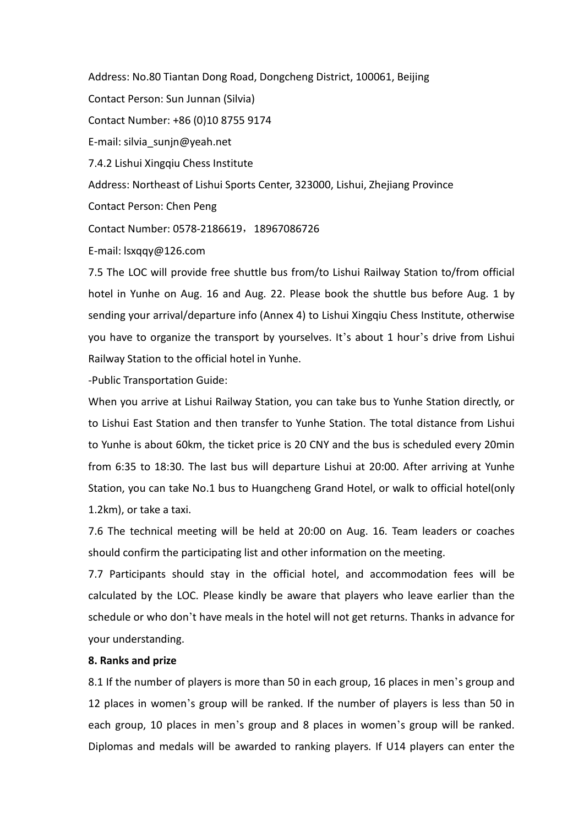Address: No.80 Tiantan Dong Road, Dongcheng District, 100061, Beijing Contact Person: Sun Junnan (Silvia) Contact Number: +86 (0)10 8755 9174 E-mail: [silvia\\_sunjn@yeah.net](mailto:silvia_sunjn@yeah.net) 7.4.2 Lishui Xingqiu Chess Institute Address: Northeast of Lishui Sports Center, 323000, Lishui, Zhejiang Province Contact Person: Chen Peng Contact Number: 0578-2186619, 18967086726 E-mail: lsxqqy@126.com

7.5 The LOC will provide free shuttle bus from/to Lishui Railway Station to/from official hotel in Yunhe on Aug. 16 and Aug. 22. Please book the shuttle bus before Aug. 1 by sending your arrival/departure info (Annex 4) to Lishui Xingqiu Chess Institute, otherwise you have to organize the transport by yourselves. It's about 1 hour's drive from Lishui Railway Station to the official hotel in Yunhe.

-Public Transportation Guide:

When you arrive at Lishui Railway Station, you can take bus to Yunhe Station directly, or to Lishui East Station and then transfer to Yunhe Station. The total distance from Lishui to Yunhe is about 60km, the ticket price is 20 CNY and the bus is scheduled every 20min from 6:35 to 18:30. The last bus will departure Lishui at 20:00. After arriving at Yunhe Station, you can take No.1 bus to Huangcheng Grand Hotel, or walk to official hotel(only 1.2km), or take a taxi.

7.6 The technical meeting will be held at 20:00 on Aug. 16. Team leaders or coaches should confirm the participating list and other information on the meeting.

7.7 Participants should stay in the official hotel, and accommodation fees will be calculated by the LOC. Please kindly be aware that players who leave earlier than the schedule or who don't have meals in the hotel will not get returns. Thanks in advance for your understanding.

#### **8. Ranks and prize**

8.1 If the number of players is more than 50 in each group, 16 places in men's group and 12 places in women's group will be ranked. If the number of players is less than 50 in each group, 10 places in men's group and 8 places in women's group will be ranked. Diplomas and medals will be awarded to ranking players. If U14 players can enter the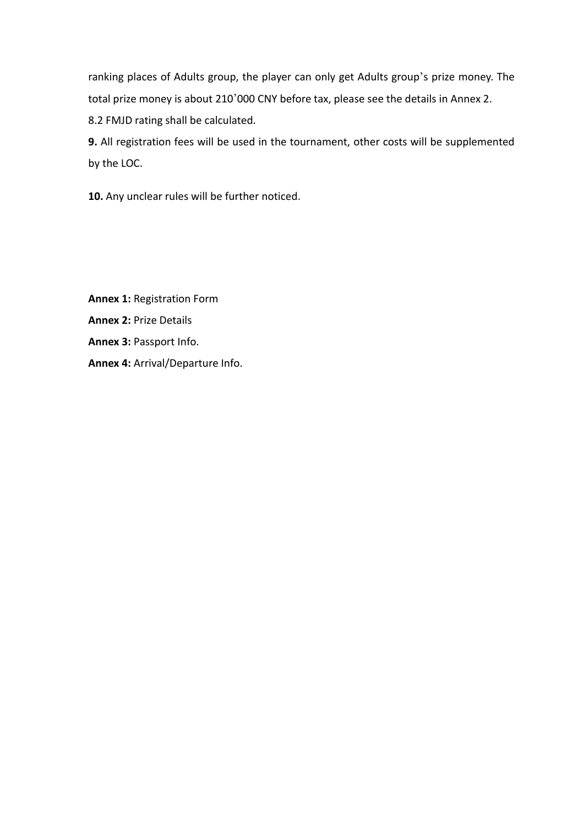ranking places of Adults group, the player can only get Adults group's prize money. The total prize money is about 210'000 CNY before tax, please see the details in Annex 2. 8.2 FMJD rating shall be calculated.

**9.** All registration fees will be used in the tournament, other costs will be supplemented by the LOC.

**10.** Any unclear rules will be further noticed.

**Annex 1:** Registration Form **Annex 2:** Prize Details **Annex 3:** Passport Info. **Annex 4:** Arrival/Departure Info.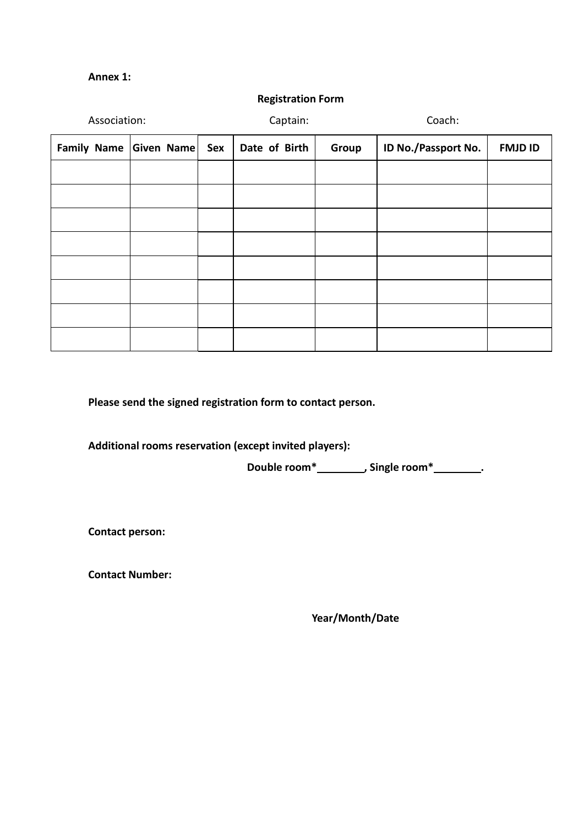#### **Annex 1:**

| Association:               |  | Captain:               |  | Coach:              |                |
|----------------------------|--|------------------------|--|---------------------|----------------|
| Family Name Given Name Sex |  | Date of Birth<br>Group |  | ID No./Passport No. | <b>FMJD ID</b> |
|                            |  |                        |  |                     |                |
|                            |  |                        |  |                     |                |
|                            |  |                        |  |                     |                |
|                            |  |                        |  |                     |                |
|                            |  |                        |  |                     |                |
|                            |  |                        |  |                     |                |
|                            |  |                        |  |                     |                |
|                            |  |                        |  |                     |                |

**Registration Form**

**Please send the signed registration form to contact person.**

**Additional rooms reservation (except invited players):**

**Double room\* , Single room\* .**

**Contact person:**

**Contact Number:**

**Year/Month/Date**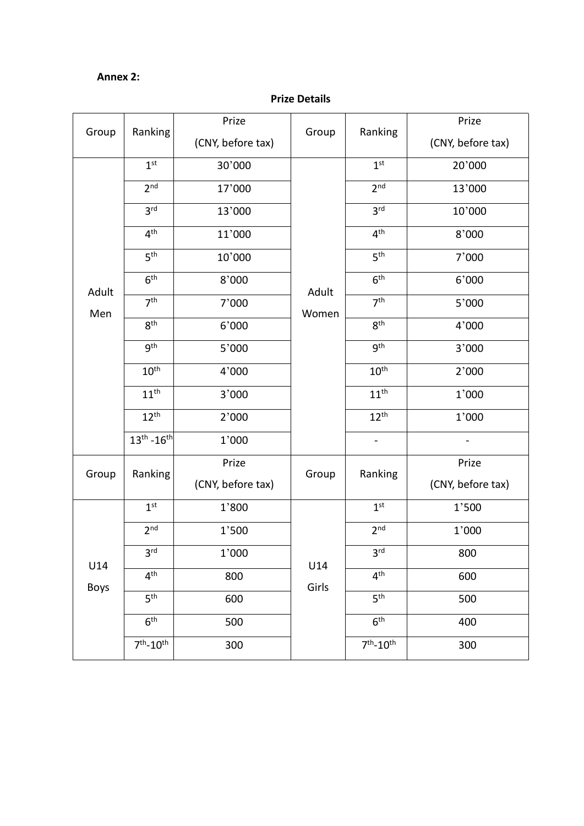## **Annex 2:**

|             |                             | Prize             |       |                  | Prize             |  |
|-------------|-----------------------------|-------------------|-------|------------------|-------------------|--|
| Group       | Ranking                     | (CNY, before tax) | Group | Ranking          | (CNY, before tax) |  |
|             | 1 <sup>st</sup>             | 30'000            |       | 1 <sup>st</sup>  | 20'000            |  |
|             | 2 <sup>nd</sup>             | 17'000            |       | 2 <sup>nd</sup>  | 13'000            |  |
|             | 3 <sup>rd</sup>             | 13'000            |       | 3 <sup>rd</sup>  | 10'000            |  |
|             | $4^{\text{th}}$             | 11'000            |       | 4 <sup>th</sup>  | 8'000             |  |
|             | 5 <sup>th</sup>             | 10'000            |       | 5 <sup>th</sup>  | 7'000             |  |
| Adult       | 6 <sup>th</sup>             | 8'000             | Adult | 6 <sup>th</sup>  | 6'000             |  |
| Men         | 7 <sup>th</sup>             | 7'000             | Women | 7 <sup>th</sup>  | $5'000$           |  |
|             | 8 <sup>th</sup>             | 6'000             |       | 8 <sup>th</sup>  | 4'000             |  |
|             | <b>gth</b>                  | $5'000$           |       | gth              | 3'000             |  |
|             | 10 <sup>th</sup>            | 4'000             |       | 10 <sup>th</sup> | 2'000             |  |
|             | 11 <sup>th</sup>            | 3'000             |       | 11 <sup>th</sup> | 1'000             |  |
|             | $12^{th}$                   | 2'000             |       | $12^{th}$        | 1'000             |  |
|             | $13^{th}$ -16 <sup>th</sup> | 1'000             |       | $\blacksquare$   |                   |  |
|             | Group<br>Ranking            | Prize<br>Group    |       | Ranking          | Prize             |  |
|             |                             | (CNY, before tax) |       |                  | (CNY, before tax) |  |
|             | 1 <sup>st</sup>             | 1'800             |       | 1 <sup>st</sup>  | 1'500             |  |
|             | 2 <sup>nd</sup>             | 1'500             |       | 2 <sup>nd</sup>  | 1'000             |  |
| U14<br>Boys | 3 <sup>rd</sup>             | 1'000             | U14   | 3 <sup>rd</sup>  | 800               |  |
|             | 4 <sup>th</sup>             | 800               | Girls | 4 <sup>th</sup>  | 600               |  |
|             | 5 <sup>th</sup>             | 600               |       | 5 <sup>th</sup>  | 500               |  |
|             | 6 <sup>th</sup>             | 500               |       | 6 <sup>th</sup>  | 400               |  |
|             | $7th - 10th$                | 300               |       | $7th - 10th$     | 300               |  |

### **Prize Details**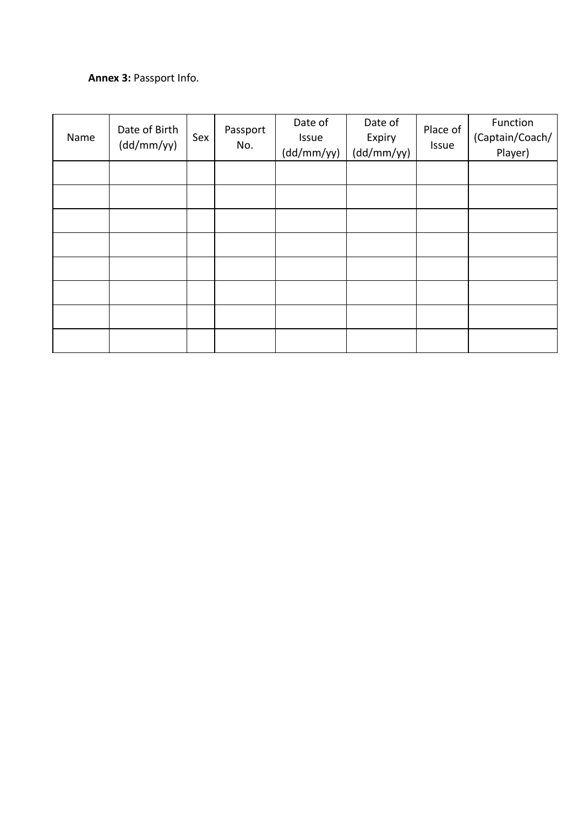# **Annex 3:** Passport Info.

| Name | Date of Birth<br>(dd/mm/yy) | Sex | Passport<br>No. | Date of<br>Issue<br>(dd/mm/yy) | Date of<br>Expiry<br>(dd/mm/yy) | Place of<br>Issue | Function<br>(Captain/Coach/<br>Player) |
|------|-----------------------------|-----|-----------------|--------------------------------|---------------------------------|-------------------|----------------------------------------|
|      |                             |     |                 |                                |                                 |                   |                                        |
|      |                             |     |                 |                                |                                 |                   |                                        |
|      |                             |     |                 |                                |                                 |                   |                                        |
|      |                             |     |                 |                                |                                 |                   |                                        |
|      |                             |     |                 |                                |                                 |                   |                                        |
|      |                             |     |                 |                                |                                 |                   |                                        |
|      |                             |     |                 |                                |                                 |                   |                                        |
|      |                             |     |                 |                                |                                 |                   |                                        |